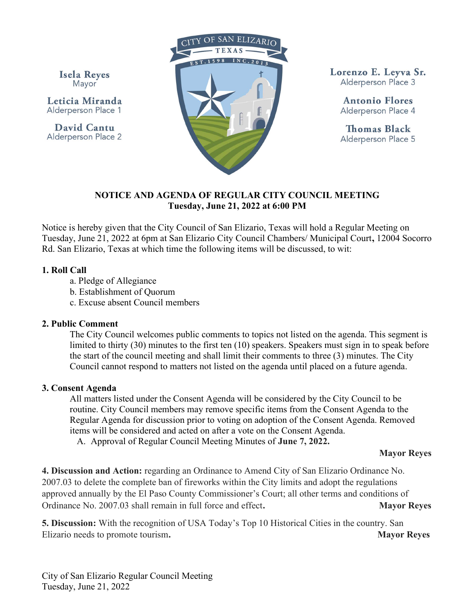**Isela Reyes** Mayor

Leticia Miranda Alderperson Place 1

David Cantu Alderperson Place 2



Lorenzo E. Levva Sr. Alderperson Place 3

> Antonio Flores Alderperson Place 4

> **Thomas Black** Alderperson Place 5

# NOTICE AND AGENDA OF REGULAR CITY COUNCIL MEETING Tuesday, June 21, 2022 at 6:00 PM

Notice is hereby given that the City Council of San Elizario, Texas will hold a Regular Meeting on Tuesday, June 21, 2022 at 6pm at San Elizario City Council Chambers/ Municipal Court, 12004 Socorro Rd. San Elizario, Texas at which time the following items will be discussed, to wit:

## 1. Roll Call

- a. Pledge of Allegiance
- b. Establishment of Quorum
- c. Excuse absent Council members

### 2. Public Comment

The City Council welcomes public comments to topics not listed on the agenda. This segment is limited to thirty (30) minutes to the first ten (10) speakers. Speakers must sign in to speak before the start of the council meeting and shall limit their comments to three (3) minutes. The City Council cannot respond to matters not listed on the agenda until placed on a future agenda.

### 3. Consent Agenda

All matters listed under the Consent Agenda will be considered by the City Council to be routine. City Council members may remove specific items from the Consent Agenda to the Regular Agenda for discussion prior to voting on adoption of the Consent Agenda. Removed items will be considered and acted on after a vote on the Consent Agenda. A. Approval of Regular Council Meeting Minutes of June 7, 2022.

Mayor Reyes

4. Discussion and Action: regarding an Ordinance to Amend City of San Elizario Ordinance No. 2007.03 to delete the complete ban of fireworks within the City limits and adopt the regulations approved annually by the El Paso County Commissioner's Court; all other terms and conditions of Ordinance No. 2007.03 shall remain in full force and effect. Mayor Reyes

5. Discussion: With the recognition of USA Today's Top 10 Historical Cities in the country. San Elizario needs to promote tourism. The contract of the contract of the contract of the contract of the contract of the contract of the contract of the contract of the contract of the contract of the contract of the contrac

City of San Elizario Regular Council Meeting Tuesday, June 21, 2022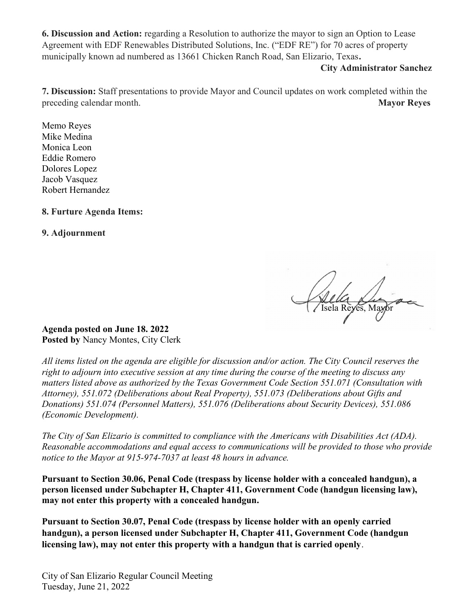6. Discussion and Action: regarding a Resolution to authorize the mayor to sign an Option to Lease Agreement with EDF Renewables Distributed Solutions, Inc. ("EDF RE") for 70 acres of property municipally known ad numbered as 13661 Chicken Ranch Road, San Elizario, Texas.

### City Administrator Sanchez

7. Discussion: Staff presentations to provide Mayor and Council updates on work completed within the preceding calendar month. Mayor Reyes

Memo Reyes Mike Medina Monica Leon Eddie Romero Dolores Lopez Jacob Vasquez Robert Hernandez

8. Furture Agenda Items:

9. Adjournment

 $\sqrt{10\mu}$   $\sim$ Isela Reyes, Mayor

Agenda posted on June 18. 2022 Posted by Nancy Montes, City Clerk

All items listed on the agenda are eligible for discussion and/or action. The City Council reserves the right to adjourn into executive session at any time during the course of the meeting to discuss any matters listed above as authorized by the Texas Government Code Section 551.071 (Consultation with Attorney), 551.072 (Deliberations about Real Property), 551.073 (Deliberations about Gifts and Donations) 551.074 (Personnel Matters), 551.076 (Deliberations about Security Devices), 551.086 (Economic Development).

The City of San Elizario is committed to compliance with the Americans with Disabilities Act (ADA). Reasonable accommodations and equal access to communications will be provided to those who provide notice to the Mayor at 915-974-7037 at least 48 hours in advance.

Pursuant to Section 30.06, Penal Code (trespass by license holder with a concealed handgun), a person licensed under Subchapter H, Chapter 411, Government Code (handgun licensing law), may not enter this property with a concealed handgun.

Pursuant to Section 30.07, Penal Code (trespass by license holder with an openly carried handgun), a person licensed under Subchapter H, Chapter 411, Government Code (handgun licensing law), may not enter this property with a handgun that is carried openly.

City of San Elizario Regular Council Meeting Tuesday, June 21, 2022